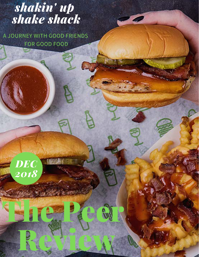## *shakin' up shake shack*

A JOURNEY WITH GOOD FRIENDS FOR GOOD FOOD



The Pear

Review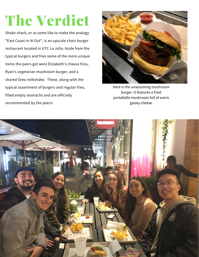# The Verdict

Shake shack, or as some like to make the analogy "East Coast In-N-Out", is an upscale chain burger restaurant located in UTC La Jolla. Aside from the typical burgers and fries some of the more unique items the peers got were Elizabeth's cheese fries, Ryan's vegetarian mushroom burger, and a shared Oreo milkshake. These, along with the typical assortment of burgers and regular fries, filled empty stomachs and are officially recommended by the peers!



Here is the unassuming mushroom burger. It features a fried portabello mushroom full of warm gooey cheese.